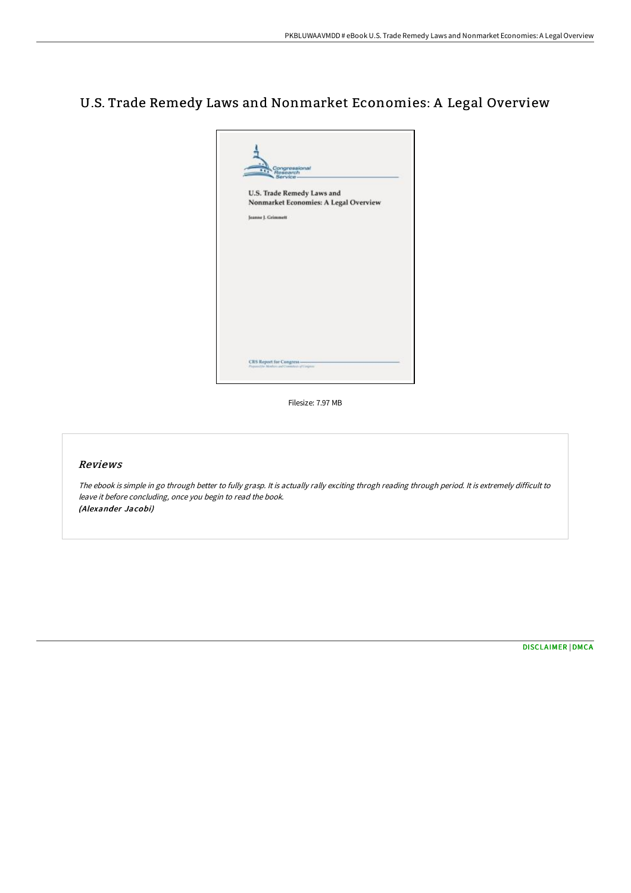# U.S. Trade Remedy Laws and Nonmarket Economies: A Legal Overview



Filesize: 7.97 MB

# Reviews

The ebook is simple in go through better to fully grasp. It is actually rally exciting throgh reading through period. It is extremely difficult to leave it before concluding, once you begin to read the book. (Alexander Jacobi)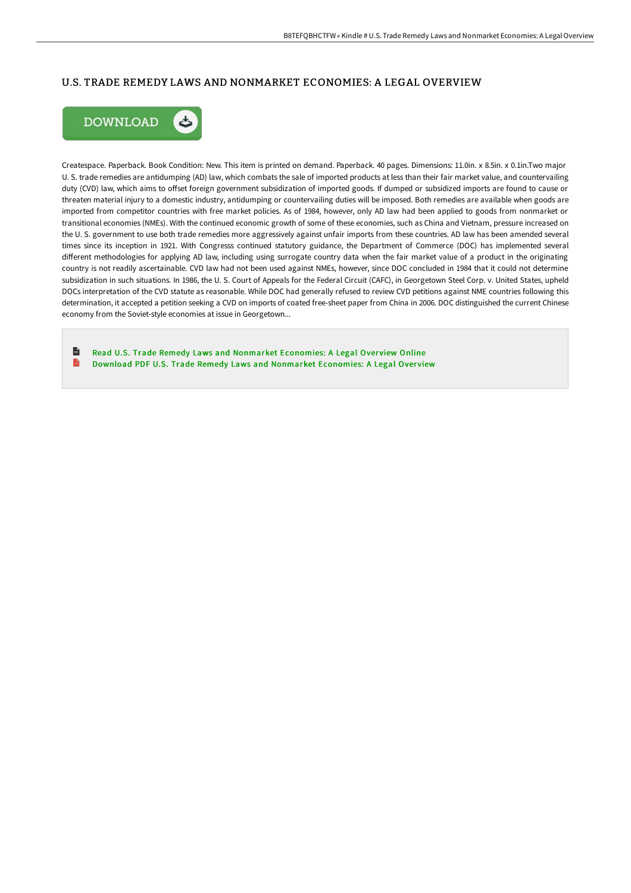### U.S. TRADE REMEDY LAWS AND NONMARKET ECONOMIES: A LEGAL OVERVIEW



Createspace. Paperback. Book Condition: New. This item is printed on demand. Paperback. 40 pages. Dimensions: 11.0in. x 8.5in. x 0.1in.Two major U. S. trade remedies are antidumping (AD) law, which combats the sale of imported products at less than their fair market value, and countervailing duty (CVD) law, which aims to offset foreign government subsidization of imported goods. If dumped or subsidized imports are found to cause or threaten material injury to a domestic industry, antidumping or countervailing duties will be imposed. Both remedies are available when goods are imported from competitor countries with free market policies. As of 1984, however, only AD law had been applied to goods from nonmarket or transitional economies (NMEs). With the continued economic growth of some of these economies, such as China and Vietnam, pressure increased on the U. S. government to use both trade remedies more aggressively against unfair imports from these countries. AD law has been amended several times since its inception in 1921. With Congresss continued statutory guidance, the Department of Commerce (DOC) has implemented several different methodologies for applying AD law, including using surrogate country data when the fair market value of a product in the originating country is not readily ascertainable. CVD law had not been used against NMEs, however, since DOC concluded in 1984 that it could not determine subsidization in such situations. In 1986, the U. S. Court of Appeals for the Federal Circuit (CAFC), in Georgetown Steel Corp. v. United States, upheld DOCs interpretation of the CVD statute as reasonable. While DOC had generally refused to review CVD petitions against NME countries following this determination, it accepted a petition seeking a CVD on imports of coated free-sheet paper from China in 2006. DOC distinguished the current Chinese economy from the Soviet-style economies at issue in Georgetown...

 $\mathbf{r}$ Read U.S. Trade Remedy Laws and Nonmarket [Economies:](http://digilib.live/u-s-trade-remedy-laws-and-nonmarket-economies-a-.html) A Legal Overview Online B Download PDF U.S. Trade Remedy Laws and Nonmarket [Economies:](http://digilib.live/u-s-trade-remedy-laws-and-nonmarket-economies-a-.html) A Legal Overview